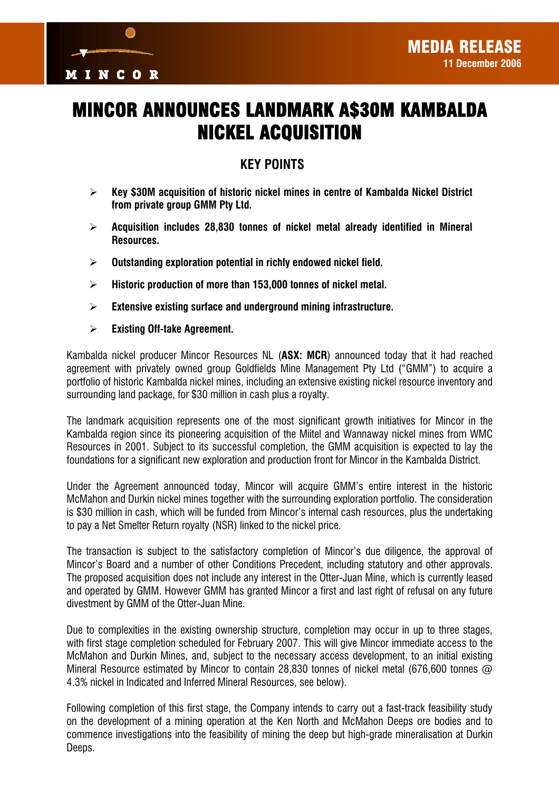

# MINCOR ANNOUNCES LANDMARK A\$30M KAMBALDA NICKEL ACQUISITION

## **KEY POINTS**

- ¾ **Key \$30M acquisition of historic nickel mines in centre of Kambalda Nickel District from private group GMM Pty Ltd.**
- ¾ **Acquisition includes 28,830 tonnes of nickel metal already identified in Mineral Resources.**
- ¾ **Outstanding exploration potential in richly endowed nickel field.**
- ¾ **Historic production of more than 153,000 tonnes of nickel metal.**
- ¾ **Extensive existing surface and underground mining infrastructure.**
- ¾ **Existing Off-take Agreement.**

Kambalda nickel producer Mincor Resources NL (**ASX: MCR**) announced today that it had reached agreement with privately owned group Goldfields Mine Management Pty Ltd ("GMM") to acquire a portfolio of historic Kambalda nickel mines, including an extensive existing nickel resource inventory and surrounding land package, for \$30 million in cash plus a royalty.

The landmark acquisition represents one of the most significant growth initiatives for Mincor in the Kambalda region since its pioneering acquisition of the Miitel and Wannaway nickel mines from WMC Resources in 2001. Subject to its successful completion, the GMM acquisition is expected to lay the foundations for a significant new exploration and production front for Mincor in the Kambalda District.

Under the Agreement announced today, Mincor will acquire GMM's entire interest in the historic McMahon and Durkin nickel mines together with the surrounding exploration portfolio. The consideration is \$30 million in cash, which will be funded from Mincor's internal cash resources, plus the undertaking to pay a Net Smelter Return royalty (NSR) linked to the nickel price.

The transaction is subject to the satisfactory completion of Mincor's due diligence, the approval of Mincor's Board and a number of other Conditions Precedent, including statutory and other approvals. The proposed acquisition does not include any interest in the Otter-Juan Mine, which is currently leased and operated by GMM. However GMM has granted Mincor a first and last right of refusal on any future divestment by GMM of the Otter-Juan Mine.

Due to complexities in the existing ownership structure, completion may occur in up to three stages, with first stage completion scheduled for February 2007. This will give Mincor immediate access to the McMahon and Durkin Mines, and, subject to the necessary access development, to an initial existing Mineral Resource estimated by Mincor to contain 28,830 tonnes of nickel metal (676,600 tonnes  $\varpi$ 4.3% nickel in Indicated and Inferred Mineral Resources, see below).

Following completion of this first stage, the Company intends to carry out a fast-track feasibility study on the development of a mining operation at the Ken North and McMahon Deeps ore bodies and to commence investigations into the feasibility of mining the deep but high-grade mineralisation at Durkin Deeps.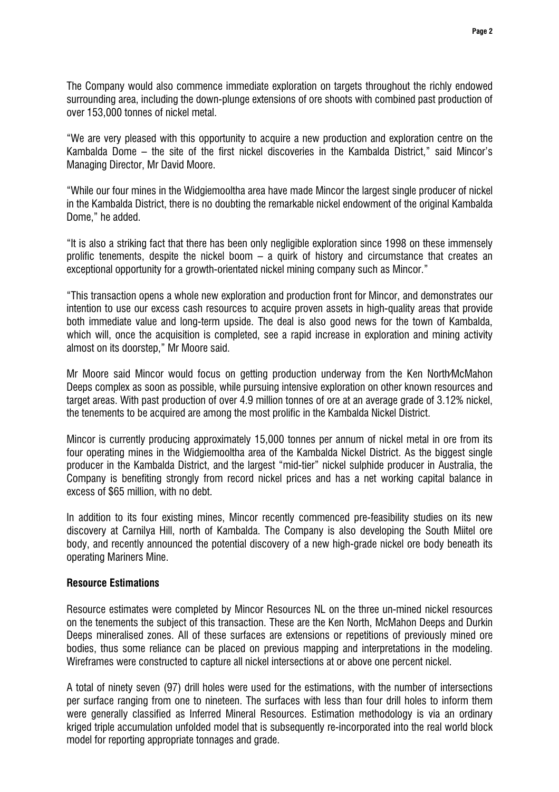The Company would also commence immediate exploration on targets throughout the richly endowed surrounding area, including the down-plunge extensions of ore shoots with combined past production of over 153,000 tonnes of nickel metal.

"We are very pleased with this opportunity to acquire a new production and exploration centre on the Kambalda Dome – the site of the first nickel discoveries in the Kambalda District," said Mincor's Managing Director, Mr David Moore.

"While our four mines in the Widgiemooltha area have made Mincor the largest single producer of nickel in the Kambalda District, there is no doubting the remarkable nickel endowment of the original Kambalda Dome," he added.

"It is also a striking fact that there has been only negligible exploration since 1998 on these immensely prolific tenements, despite the nickel boom – a quirk of history and circumstance that creates an exceptional opportunity for a growth-orientated nickel mining company such as Mincor."

"This transaction opens a whole new exploration and production front for Mincor, and demonstrates our intention to use our excess cash resources to acquire proven assets in high-quality areas that provide both immediate value and long-term upside. The deal is also good news for the town of Kambalda, which will, once the acquisition is completed, see a rapid increase in exploration and mining activity almost on its doorstep," Mr Moore said.

Mr Moore said Mincor would focus on getting production underway from the Ken North/McMahon Deeps complex as soon as possible, while pursuing intensive exploration on other known resources and target areas. With past production of over 4.9 million tonnes of ore at an average grade of 3.12% nickel, the tenements to be acquired are among the most prolific in the Kambalda Nickel District.

Mincor is currently producing approximately 15,000 tonnes per annum of nickel metal in ore from its four operating mines in the Widgiemooltha area of the Kambalda Nickel District. As the biggest single producer in the Kambalda District, and the largest "mid-tier" nickel sulphide producer in Australia, the Company is benefiting strongly from record nickel prices and has a net working capital balance in excess of \$65 million, with no debt.

In addition to its four existing mines, Mincor recently commenced pre-feasibility studies on its new discovery at Carnilya Hill, north of Kambalda. The Company is also developing the South Miitel ore body, and recently announced the potential discovery of a new high-grade nickel ore body beneath its operating Mariners Mine.

### **Resource Estimations**

Resource estimates were completed by Mincor Resources NL on the three un-mined nickel resources on the tenements the subject of this transaction. These are the Ken North, McMahon Deeps and Durkin Deeps mineralised zones. All of these surfaces are extensions or repetitions of previously mined ore bodies, thus some reliance can be placed on previous mapping and interpretations in the modeling. Wireframes were constructed to capture all nickel intersections at or above one percent nickel.

A total of ninety seven (97) drill holes were used for the estimations, with the number of intersections per surface ranging from one to nineteen. The surfaces with less than four drill holes to inform them were generally classified as Inferred Mineral Resources. Estimation methodology is via an ordinary kriged triple accumulation unfolded model that is subsequently re-incorporated into the real world block model for reporting appropriate tonnages and grade.